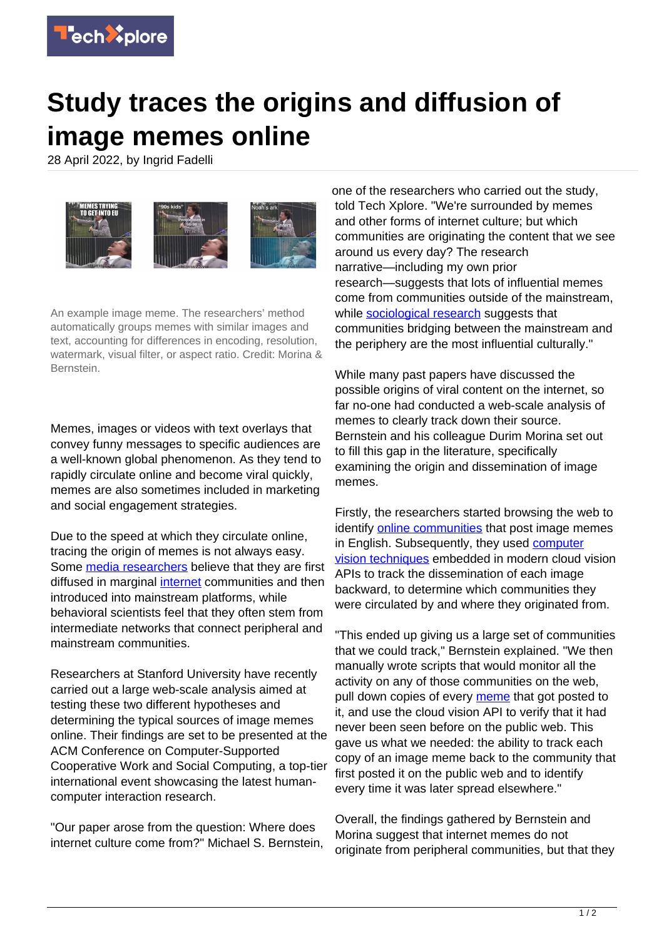

## **Study traces the origins and diffusion of image memes online**

28 April 2022, by Ingrid Fadelli



An example image meme. The researchers' method automatically groups memes with similar images and text, accounting for differences in encoding, resolution, watermark, visual filter, or aspect ratio. Credit: Morina & Bernstein.

Memes, images or videos with text overlays that convey funny messages to specific audiences are a well-known global phenomenon. As they tend to rapidly circulate online and become viral quickly, memes are also sometimes included in marketing and social engagement strategies.

Due to the speed at which they circulate online, tracing the origin of memes is not always easy. Some [media researchers](https://techxplore.com/tags/media+researchers/) believe that they are first diffused in marginal [internet](https://techxplore.com/tags/internet/) communities and then introduced into mainstream platforms, while behavioral scientists feel that they often stem from intermediate networks that connect peripheral and mainstream communities.

Researchers at Stanford University have recently carried out a large web-scale analysis aimed at testing these two different hypotheses and determining the typical sources of image memes online. Their findings are set to be presented at the ACM Conference on Computer-Supported Cooperative Work and Social Computing, a top-tier international event showcasing the latest humancomputer interaction research.

"Our paper arose from the question: Where does internet culture come from?" Michael S. Bernstein, one of the researchers who carried out the study, told Tech Xplore. "We're surrounded by memes and other forms of internet culture; but which communities are originating the content that we see around us every day? The research narrative—including my own prior research—suggests that lots of influential memes come from communities outside of the mainstream, while [sociological research](https://techxplore.com/tags/sociological+research/) suggests that communities bridging between the mainstream and the periphery are the most influential culturally."

While many past papers have discussed the possible origins of viral content on the internet, so far no-one had conducted a web-scale analysis of memes to clearly track down their source. Bernstein and his colleague Durim Morina set out to fill this gap in the literature, specifically examining the origin and dissemination of image memes.

Firstly, the researchers started browsing the web to identify [online communities](https://techxplore.com/tags/online+communities/) that post image memes in English. Subsequently, they used [computer](https://techxplore.com/tags/computer+vision+techniques/) [vision techniques](https://techxplore.com/tags/computer+vision+techniques/) embedded in modern cloud vision APIs to track the dissemination of each image backward, to determine which communities they were circulated by and where they originated from.

"This ended up giving us a large set of communities that we could track," Bernstein explained. "We then manually wrote scripts that would monitor all the activity on any of those communities on the web, pull down copies of every [meme](https://techxplore.com/tags/meme/) that got posted to it, and use the cloud vision API to verify that it had never been seen before on the public web. This gave us what we needed: the ability to track each copy of an image meme back to the community that first posted it on the public web and to identify every time it was later spread elsewhere."

Overall, the findings gathered by Bernstein and Morina suggest that internet memes do not originate from peripheral communities, but that they